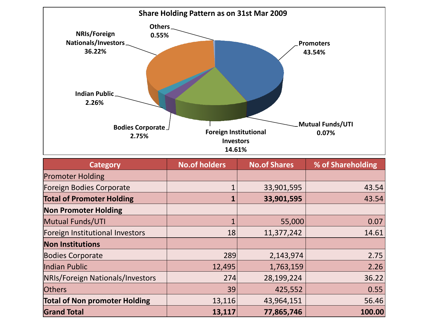

| <b>Category</b>                         | <b>No.of holders</b> | <b>No.of Shares</b> | % of Shareholding |
|-----------------------------------------|----------------------|---------------------|-------------------|
| <b>Promoter Holding</b>                 |                      |                     |                   |
| Foreign Bodies Corporate                |                      | 33,901,595          | 43.54             |
| <b>Total of Promoter Holding</b>        |                      | 33,901,595          | 43.54             |
| <b>Non Promoter Holding</b>             |                      |                     |                   |
| <b>Mutual Funds/UTI</b>                 | 1                    | 55,000              | 0.07              |
| Foreign Institutional Investors         | 18                   | 11,377,242          | 14.61             |
| <b>Non Institutions</b>                 |                      |                     |                   |
| <b>Bodies Corporate</b>                 | 289                  | 2,143,974           | 2.75              |
| Indian Public                           | 12,495               | 1,763,159           | 2.26              |
| <b>NRIs/Foreign Nationals/Investors</b> | 274                  | 28,199,224          | 36.22             |
| <b>Others</b>                           | 39                   | 425,552             | 0.55              |
| <b>Total of Non promoter Holding</b>    | 13,116               | 43,964,151          | 56.46             |
| <b>Grand Total</b>                      | 13,117               | 77,865,746          | 100.00            |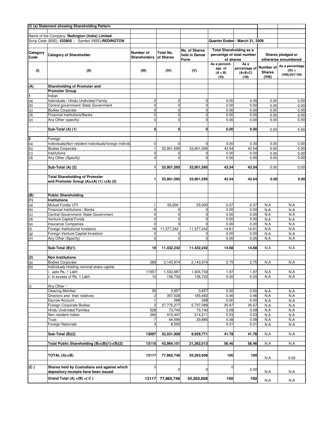|                 | (I) (a) Statement showing Shareholding Pattern         |                     |             |               |                                |                         |               |                             |
|-----------------|--------------------------------------------------------|---------------------|-------------|---------------|--------------------------------|-------------------------|---------------|-----------------------------|
|                 |                                                        |                     |             |               |                                |                         |               |                             |
|                 | Name of the Company: Redington (India) Limited         |                     |             |               |                                |                         |               |                             |
|                 | Scrip Code (BSE): 532805 :: Symbol (NSE):REDINGTON     |                     |             |               | Quarter Ended: March 31, 2009  |                         |               |                             |
|                 |                                                        |                     |             |               |                                |                         |               |                             |
|                 |                                                        |                     |             | No. of Shares | <b>Total Shareholding as a</b> |                         |               |                             |
| Category        | <b>Category of Shareholder</b>                         | Number of           | Total No.   | held in Demat | percentge of total number      |                         |               | Shares pledged or           |
| Code            |                                                        | <b>Shareholders</b> | of Shares   | Form          | of shares                      |                         |               | otherwise encumbered        |
|                 |                                                        |                     |             |               | As a percent-                  | As a                    |               |                             |
|                 |                                                        |                     |             |               | age of                         | percentage of Number of |               | As a percentage<br>$(IX) =$ |
| (1)             | (II)                                                   | (III)               | (IV)        | (V)           | $(A + B)$                      | $(A+B+C)$               | <b>Shares</b> | (VIII)/(IV)*100             |
|                 |                                                        |                     |             |               | (VI)                           | (VII)                   | (VIII)        |                             |
|                 |                                                        |                     |             |               |                                |                         |               |                             |
| (A)             | Shareholding of Promoter and                           |                     |             |               |                                |                         |               |                             |
|                 | <b>Promoter Group</b>                                  |                     |             |               |                                |                         |               |                             |
| 1               | Indian                                                 |                     |             |               |                                |                         |               |                             |
| (a)             | Individuals / Hindu Undivided Family                   | $\mathbf 0$         | $\mathbf 0$ | 0             | 0.00                           | 0.00                    | 0.00          | 0.00                        |
| (b)             | Central government/ State Government                   | $\mathbf 0$         | $\mathbf 0$ | $\mathbf 0$   | 0.00                           | 0.00                    | 0.00          | 0.00                        |
| (c)             | <b>Bodies Corporate</b>                                | $\overline{0}$      | $\mathbf 0$ | $\mathbf 0$   | 0.00                           | 0.00                    | 0.00          | 0.00                        |
| (d)             | <b>Financial Institutions/Banks</b>                    | $\mathbf 0$         | $\mathbf 0$ | $\mathbf 0$   | 0.00                           | 0.00                    | 0.00          | 0.00                        |
| (e)             | Any Other (specify)                                    | $\mathbf 0$         | $\mathbf 0$ | $\mathbf 0$   | 0.00                           | 0.00                    | 0.00          | 0.00                        |
|                 |                                                        |                     |             |               |                                |                         |               |                             |
|                 | Sub-Total (A) (1)                                      | 0                   | 0           | 0             | 0.00                           | 0.00                    | 0.00          | 0.00                        |
|                 |                                                        |                     |             |               |                                |                         |               |                             |
| 2               | Foreign                                                |                     |             |               |                                |                         |               |                             |
| (a)             | Individuals (Non resident individuals/foreign individu | $\mathbf 0$         | $\Omega$    | $\mathbf 0$   | 0.00                           | 0.00                    | 0.00          | 0.00                        |
| (b)             | <b>Bodies Corporate</b>                                | $\mathbf{1}$        | 33,901,595  | 33,901,595    | 43.54                          | 43.54                   | 0.00          | 0.00                        |
| (c)             | Institutions                                           | $\mathbf 0$         | 0           | 0             | 0.00                           | 0.00                    | 0.00          | 0.00                        |
| (d)             | Any Other (Specify)                                    | $\mathbf 0$         | $\Omega$    | $\mathbf 0$   | 0.00                           | 0.00                    | 0.00          | 0.00                        |
|                 |                                                        |                     |             |               |                                |                         |               |                             |
|                 | Sub-Total (A) (2)                                      |                     | 33,901,595  | 33,901,595    | 43.54                          | 43.54                   | 0.00          | 0.00                        |
|                 |                                                        |                     |             |               |                                |                         |               |                             |
|                 | <b>Total Shareholding of Promoter</b>                  |                     |             |               |                                |                         |               |                             |
|                 | and Promoter Group $(A)=(A) (1) + (A) (2)$             | 1                   | 33,901,595  | 33,901,595    | 43.54                          | 43.54                   | 0.00          | 0.00                        |
|                 |                                                        |                     |             |               |                                |                         |               |                             |
|                 |                                                        |                     |             |               |                                |                         |               |                             |
| (B)             | <b>Public Shareholding</b>                             |                     |             |               |                                |                         |               |                             |
| (1)             | <b>Institutions</b>                                    |                     |             |               |                                |                         |               |                             |
|                 | Mutual Funds/ UTI                                      |                     |             | 55,000        | 0.07                           | 0.07                    |               |                             |
| (a)             |                                                        | $\mathbf{1}$        | 55,000      |               |                                |                         | N.A           | N.A                         |
| (b)             | Financial Institutions / Banks                         | $\mathbf 0$         | 0           | 0             | 0.00                           | 0.00                    | N.A           | N.A                         |
| (c)             | Central Government/ State Government                   | $\mathbf 0$         | $\mathbf 0$ | $\mathbf 0$   | 0.00                           | 0.00                    | N.A           | N.A                         |
| (d)             | Venture Capital Funds                                  | $\mathbf 0$         | 0           | 0             | 0.00                           | 0.00                    | N.A           | N.A                         |
| (e)             | <b>Insurance Companies</b>                             | $\mathbf 0$         | $\mathbf 0$ | 0             | 0.00                           | 0.00                    | N.A           | N.A                         |
| (f)             | Foreign Institutional Investors                        | 18                  | 11,377,242  | 11,377,242    | 14.61                          | 14.61                   | N.A           | N.A                         |
| $\overline{g})$ | Foreign Venture Capital Investors                      | 0                   | 0           | 0             | 0.00                           | 0.00                    | N.A           | N.A                         |
| (h)             | Any Other (Specify)                                    | $\mathbf 0$         | $\mathbf 0$ | $\mathbf 0$   | 0.00                           | 0.00                    | N.A           | N.A                         |
|                 |                                                        |                     |             |               |                                |                         |               |                             |
|                 | Sub-Total (B)(1)                                       | 19                  | 11,432,242  | 11,432,242    | 14.68                          | 14.68                   | N.A           | N.A                         |
|                 |                                                        |                     |             |               |                                |                         |               |                             |
| (2)             | <b>Non Institutions</b>                                |                     |             |               |                                |                         |               |                             |
| (a)             | <b>Bodies Corporate</b>                                | 289                 | 2,143,974   | 2,143,974     | 2.75                           | 2.75                    | N.A           | N.A                         |
| (b)             | Individuals Holding nominal share capital              |                     |             |               |                                |                         |               |                             |
|                 | i. upto Rs. 1 Lakh                                     | 11957               | 1,532,687   | 1,404,743     | 1.97                           | 1.97                    | N.A           | N.A                         |
|                 | ii. In excess of Rs. 1 Lakh                            | 10                  | 156,732     | 136,722       | 0.20                           | 0.20                    | N.A           | N.A                         |
|                 |                                                        |                     |             |               |                                |                         |               |                             |
| c)              | Any Other :-                                           |                     |             |               |                                |                         |               |                             |
|                 | <b>Clearing Member</b>                                 | 29                  | 3,657       | 3,657         | 0.00                           | 0.00                    | N.A           | N.A                         |
|                 | Directors and their relatives                          | $\overline{c}$      | 357,028     | 185,482       | 0.46                           | 0.46                    | N.A           | N.A                         |
|                 | <b>Escrow Account</b>                                  | $\overline{1}$      | 268         | 268           | 0.00                           | 0.00                    | N.A           | N.A                         |
|                 | Foreign Corporate Bodies                               | $\overline{c}$      | 27,775,277  | 5,737,089     | 35.67                          | 35.67                   | N.A           | N.A                         |
|                 | Hindu Undivided Families                               | 528                 | 73,740      | 73,740        | 0.09                           | 0.09                    | N.A           | N.A                         |
|                 | Non resident Indian                                    | 269                 | 415,447     | 214,211       | 0.53                           | 0.53                    | N.A           | N.A                         |
|                 | Trust                                                  | 7                   | 64,599      | 29,885        | 0.08                           | 0.08                    | N.A           | N.A                         |
|                 | Foreign Nationals                                      | 3                   | 8,500       |               | 0.01                           | 0.01                    | N.A           | N.A                         |
|                 |                                                        |                     |             |               |                                |                         |               |                             |
|                 | Sub-Total (B)(2)                                       | 13097               | 32,531,909  | 9,929,771     | 41.78                          | 41.78                   | N.A           | N.A                         |
|                 |                                                        |                     |             |               |                                |                         |               |                             |
|                 | Total Public Shareholding (B)=(B)(1)+(B)(2)            | 13116               | 43,964,151  | 21,362,013    | 56.46                          | 56.46                   | N.A           | N.A                         |
|                 |                                                        |                     |             |               |                                |                         |               |                             |
|                 |                                                        |                     |             |               |                                | 100                     |               |                             |
|                 | TOTAL $(A)+(B)$                                        | 13117               | 77,865,746  | 55,263,608    | 100                            |                         | N.A           | 0.00                        |
|                 |                                                        |                     |             |               |                                |                         |               |                             |
| (C)             | Shares held by Custodians and against which            | $\mathbf 0$         | 0           | 0             | $\mathbf 0$                    | 0.00                    |               |                             |
|                 | depository receipts have been issued                   |                     |             |               |                                |                         | N.A           | N.A                         |
|                 | Grand Total (A) $+(B) + (C)$                           | 13117               | 77,865,746  | 55,263,608    | 100                            | 100                     |               |                             |
|                 |                                                        |                     |             |               |                                |                         | N.A           | N.A                         |